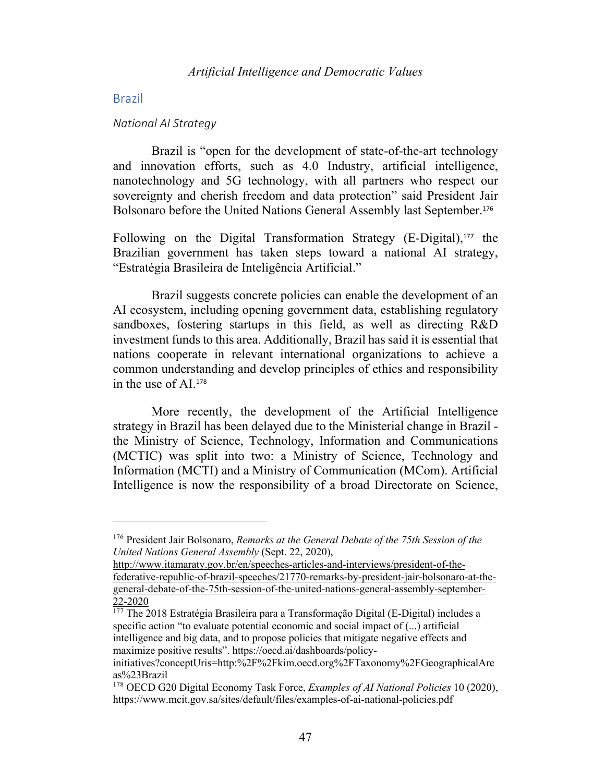# Brazil

#### *National AI Strategy*

Brazil is "open for the development of state-of-the-art technology and innovation efforts, such as 4.0 Industry, artificial intelligence, nanotechnology and 5G technology, with all partners who respect our sovereignty and cherish freedom and data protection" said President Jair Bolsonaro before the United Nations General Assembly last September. 176

Following on the Digital Transformation Strategy (E-Digital), <sup>177</sup> the Brazilian government has taken steps toward a national AI strategy, "Estratégia Brasileira de Inteligência Artificial."

Brazil suggests concrete policies can enable the development of an AI ecosystem, including opening government data, establishing regulatory sandboxes, fostering startups in this field, as well as directing R&D investment funds to this area. Additionally, Brazil has said it is essential that nations cooperate in relevant international organizations to achieve a common understanding and develop principles of ethics and responsibility in the use of AI.<sup>178</sup>

More recently, the development of the Artificial Intelligence strategy in Brazil has been delayed due to the Ministerial change in Brazil the Ministry of Science, Technology, Information and Communications (MCTIC) was split into two: a Ministry of Science, Technology and Information (MCTI) and a Ministry of Communication (MCom). Artificial Intelligence is now the responsibility of a broad Directorate on Science,

http://www.itamaraty.gov.br/en/speeches-articles-and-interviews/president-of-thefederative-republic-of-brazil-speeches/21770-remarks-by-president-jair-bolsonaro-at-thegeneral-debate-of-the-75th-session-of-the-united-nations-general-assembly-september-22-2020

<sup>177</sup> The 2018 Estratégia Brasileira para a Transformação Digital (E-Digital) includes a specific action "to evaluate potential economic and social impact of (...) artificial intelligence and big data, and to propose policies that mitigate negative effects and maximize positive results". https://oecd.ai/dashboards/policy-

<sup>176</sup> President Jair Bolsonaro, *Remarks at the General Debate of the 75th Session of the United Nations General Assembly* (Sept. 22, 2020),

initiatives?conceptUris=http:%2F%2Fkim.oecd.org%2FTaxonomy%2FGeographicalAre as%23Brazil

<sup>178</sup> OECD G20 Digital Economy Task Force, *Examples of AI National Policies* 10 (2020), https://www.mcit.gov.sa/sites/default/files/examples-of-ai-national-policies.pdf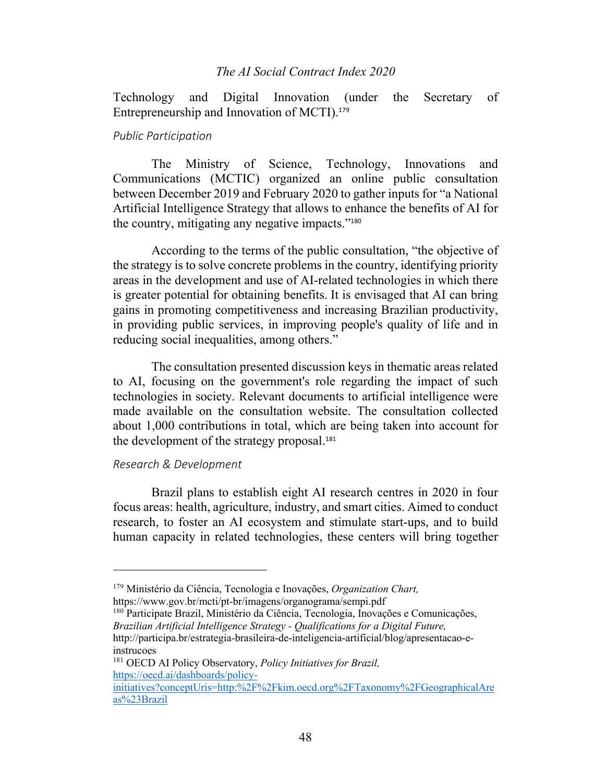Technology and Digital Innovation (under the Secretary of Entrepreneurship and Innovation of MCTI).<sup>179</sup>

# *Public Participation*

The Ministry of Science, Technology, Innovations and Communications (MCTIC) organized an online public consultation between December 2019 and February 2020 to gather inputs for "a National Artificial Intelligence Strategy that allows to enhance the benefits of AI for the country, mitigating any negative impacts."<sup>180</sup>

According to the terms of the public consultation, "the objective of the strategy is to solve concrete problems in the country, identifying priority areas in the development and use of AI-related technologies in which there is greater potential for obtaining benefits. It is envisaged that AI can bring gains in promoting competitiveness and increasing Brazilian productivity, in providing public services, in improving people's quality of life and in reducing social inequalities, among others."

The consultation presented discussion keys in thematic areas related to AI, focusing on the government's role regarding the impact of such technologies in society. Relevant documents to artificial intelligence were made available on the consultation website. The consultation collected about 1,000 contributions in total, which are being taken into account for the development of the strategy proposal.<sup>181</sup>

### *Research & Development*

Brazil plans to establish eight AI research centres in 2020 in four focus areas: health, agriculture, industry, and smart cities. Aimed to conduct research, to foster an AI ecosystem and stimulate start-ups, and to build human capacity in related technologies, these centers will bring together

http://participa.br/estrategia-brasileira-de-inteligencia-artificial/blog/apresentacao-einstrucoes

<sup>179</sup> Ministério da Ciência, Tecnologia e Inovações, *Organization Chart,* https://www.gov.br/mcti/pt-br/imagens/organograma/sempi.pdf

<sup>180</sup> Participate Brazil, Ministério da Ciência, Tecnologia, Inovações e Comunicações, *Brazilian Artificial Intelligence Strategy - Qualifications for a Digital Future,*

<sup>181</sup> OECD AI Policy Observatory, *Policy Initiatives for Brazil,*  https://oecd.ai/dashboards/policy-

initiatives?conceptUris=http:%2F%2Fkim.oecd.org%2FTaxonomy%2FGeographicalAre as%23Brazil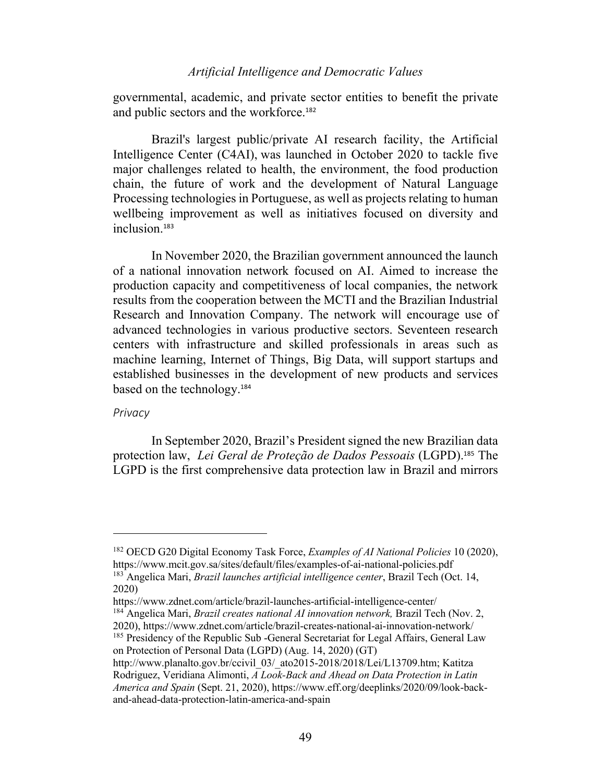governmental, academic, and private sector entities to benefit the private and public sectors and the workforce.<sup>182</sup>

Brazil's largest public/private AI research facility, the Artificial Intelligence Center (C4AI), was launched in October 2020 to tackle five major challenges related to health, the environment, the food production chain, the future of work and the development of Natural Language Processing technologies in Portuguese, as well as projects relating to human wellbeing improvement as well as initiatives focused on diversity and inclusion.<sup>183</sup>

In November 2020, the Brazilian government announced the launch of a national innovation network focused on AI. Aimed to increase the production capacity and competitiveness of local companies, the network results from the cooperation between the MCTI and the Brazilian Industrial Research and Innovation Company. The network will encourage use of advanced technologies in various productive sectors. Seventeen research centers with infrastructure and skilled professionals in areas such as machine learning, Internet of Things, Big Data, will support startups and established businesses in the development of new products and services based on the technology.<sup>184</sup>

### *Privacy*

In September 2020, Brazil's President signed the new Brazilian data protection law, *Lei Geral de Proteção de Dados Pessoais* (LGPD). <sup>185</sup> The LGPD is the first comprehensive data protection law in Brazil and mirrors

https://www.zdnet.com/article/brazil-launches-artificial-intelligence-center/

<sup>182</sup> OECD G20 Digital Economy Task Force, *Examples of AI National Policies* 10 (2020), https://www.mcit.gov.sa/sites/default/files/examples-of-ai-national-policies.pdf <sup>183</sup> Angelica Mari, *Brazil launches artificial intelligence center*, Brazil Tech (Oct. 14, 2020)

<sup>&</sup>lt;sup>184</sup> Angelica Mari, *Brazil creates national AI innovation network*, Brazil Tech (Nov. 2, 2020), https://www.zdnet.com/article/brazil-creates-national-ai-innovation-network/

<sup>&</sup>lt;sup>185</sup> Presidency of the Republic Sub -General Secretariat for Legal Affairs, General Law on Protection of Personal Data (LGPD) (Aug. 14, 2020) (GT)

http://www.planalto.gov.br/ccivil\_03/\_ato2015-2018/2018/Lei/L13709.htm; Katitza Rodriguez, Veridiana Alimonti, *A Look-Back and Ahead on Data Protection in Latin America and Spain* (Sept. 21, 2020), https://www.eff.org/deeplinks/2020/09/look-backand-ahead-data-protection-latin-america-and-spain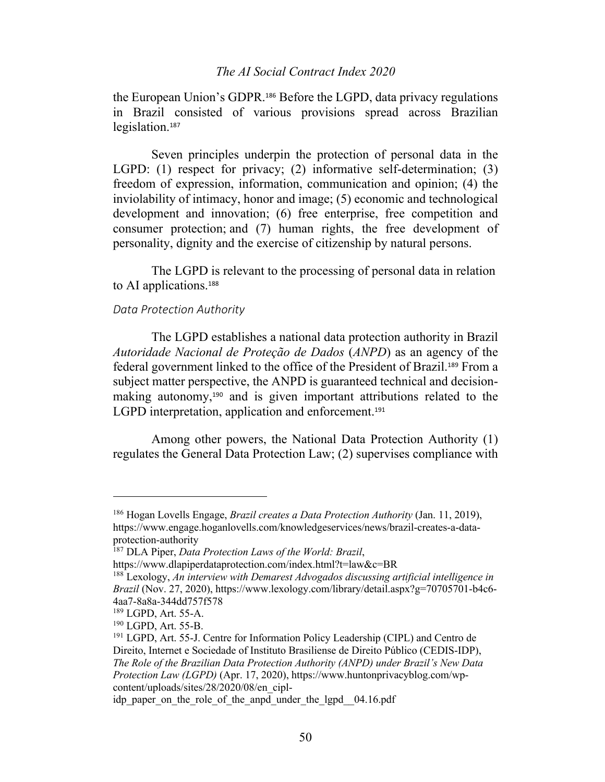the European Union's GDPR. <sup>186</sup> Before the LGPD, data privacy regulations in Brazil consisted of various provisions spread across Brazilian legislation.<sup>187</sup>

Seven principles underpin the protection of personal data in the LGPD: (1) respect for privacy; (2) informative self-determination; (3) freedom of expression, information, communication and opinion; (4) the inviolability of intimacy, honor and image; (5) economic and technological development and innovation; (6) free enterprise, free competition and consumer protection; and (7) human rights, the free development of personality, dignity and the exercise of citizenship by natural persons.

The LGPD is relevant to the processing of personal data in relation to AI applications.<sup>188</sup>

# *Data Protection Authority*

The LGPD establishes a national data protection authority in Brazil *Autoridade Nacional de Proteção de Dados* (*ANPD*) as an agency of the federal government linked to the office of the President of Brazil. <sup>189</sup> From a subject matter perspective, the ANPD is guaranteed technical and decisionmaking autonomy, <sup>190</sup> and is given important attributions related to the LGPD interpretation, application and enforcement.<sup>191</sup>

Among other powers, the National Data Protection Authority (1) regulates the General Data Protection Law; (2) supervises compliance with

<sup>186</sup> Hogan Lovells Engage, *Brazil creates a Data Protection Authority* (Jan. 11, 2019), https://www.engage.hoganlovells.com/knowledgeservices/news/brazil-creates-a-dataprotection-authority

<sup>187</sup> DLA Piper, *Data Protection Laws of the World: Brazil*,

https://www.dlapiperdataprotection.com/index.html?t=law&c=BR

<sup>188</sup> Lexology, *An interview with Demarest Advogados discussing artificial intelligence in Brazil* (Nov. 27, 2020), https://www.lexology.com/library/detail.aspx?g=70705701-b4c6- 4aa7-8a8a-344dd757f578

<sup>189</sup> LGPD, Art. 55-A.

<sup>190</sup> LGPD, Art. 55-B.

<sup>191</sup> LGPD, Art. 55-J. Centre for Information Policy Leadership (CIPL) and Centro de Direito, Internet e Sociedade of Instituto Brasiliense de Direito Público (CEDIS-IDP), *The Role of the Brazilian Data Protection Authority (ANPD) under Brazil's New Data Protection Law (LGPD)* (Apr. 17, 2020), https://www.huntonprivacyblog.com/wpcontent/uploads/sites/28/2020/08/en\_cipl-

idp\_paper\_on\_the\_role\_of\_the\_anpd\_under\_the\_lgpd\_04.16.pdf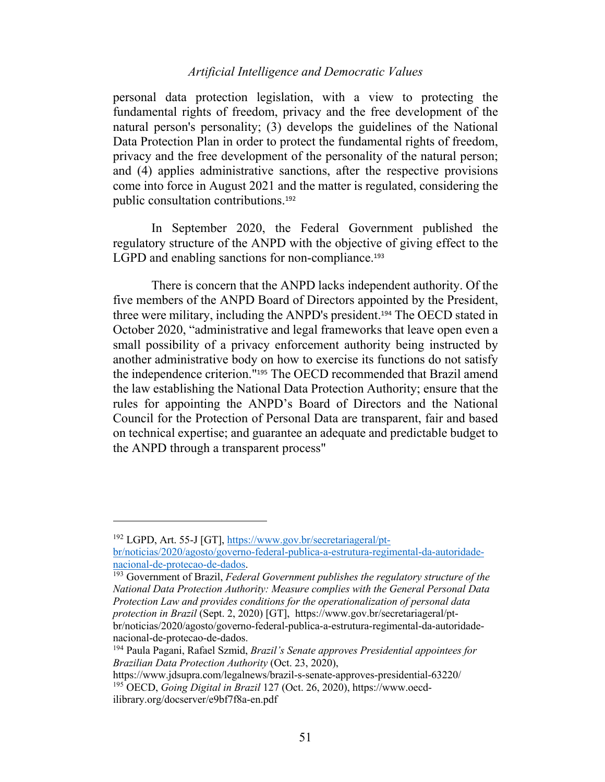personal data protection legislation, with a view to protecting the fundamental rights of freedom, privacy and the free development of the natural person's personality; (3) develops the guidelines of the National Data Protection Plan in order to protect the fundamental rights of freedom, privacy and the free development of the personality of the natural person; and (4) applies administrative sanctions, after the respective provisions come into force in August 2021 and the matter is regulated, considering the public consultation contributions.<sup>192</sup>

In September 2020, the Federal Government published the regulatory structure of the ANPD with the objective of giving effect to the LGPD and enabling sanctions for non-compliance.<sup>193</sup>

There is concern that the ANPD lacks independent authority. Of the five members of the ANPD Board of Directors appointed by the President, three were military, including the ANPD's president.<sup>194</sup> The OECD stated in October 2020, "administrative and legal frameworks that leave open even a small possibility of a privacy enforcement authority being instructed by another administrative body on how to exercise its functions do not satisfy the independence criterion."<sup>195</sup> The OECD recommended that Brazil amend the law establishing the National Data Protection Authority; ensure that the rules for appointing the ANPD's Board of Directors and the National Council for the Protection of Personal Data are transparent, fair and based on technical expertise; and guarantee an adequate and predictable budget to the ANPD through a transparent process"

<sup>192</sup> LGPD, Art. 55-J [GT], https://www.gov.br/secretariageral/pt-

br/noticias/2020/agosto/governo-federal-publica-a-estrutura-regimental-da-autoridadenacional-de-protecao-de-dados.

<sup>193</sup> Government of Brazil, *Federal Government publishes the regulatory structure of the National Data Protection Authority: Measure complies with the General Personal Data Protection Law and provides conditions for the operationalization of personal data protection in Brazil* (Sept. 2, 2020) [GT], https://www.gov.br/secretariageral/ptbr/noticias/2020/agosto/governo-federal-publica-a-estrutura-regimental-da-autoridadenacional-de-protecao-de-dados.

<sup>194</sup> Paula Pagani, Rafael Szmid, *Brazil's Senate approves Presidential appointees for Brazilian Data Protection Authority* (Oct. 23, 2020),

https://www.jdsupra.com/legalnews/brazil-s-senate-approves-presidential-63220/ <sup>195</sup> OECD, *Going Digital in Brazil* 127 (Oct. 26, 2020), https://www.oecdilibrary.org/docserver/e9bf7f8a-en.pdf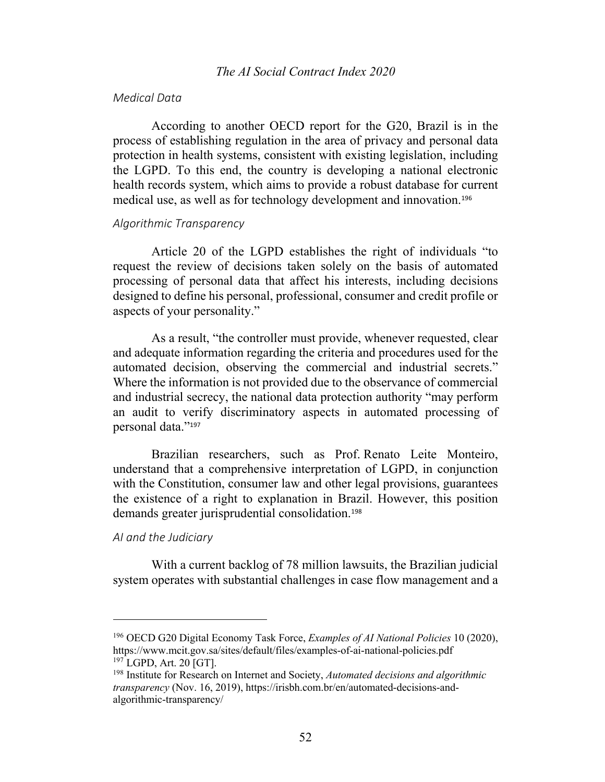### *Medical Data*

According to another OECD report for the G20, Brazil is in the process of establishing regulation in the area of privacy and personal data protection in health systems, consistent with existing legislation, including the LGPD. To this end, the country is developing a national electronic health records system, which aims to provide a robust database for current medical use, as well as for technology development and innovation.<sup>196</sup>

# *Algorithmic Transparency*

Article 20 of the LGPD establishes the right of individuals "to request the review of decisions taken solely on the basis of automated processing of personal data that affect his interests, including decisions designed to define his personal, professional, consumer and credit profile or aspects of your personality."

As a result, "the controller must provide, whenever requested, clear and adequate information regarding the criteria and procedures used for the automated decision, observing the commercial and industrial secrets." Where the information is not provided due to the observance of commercial and industrial secrecy, the national data protection authority "may perform an audit to verify discriminatory aspects in automated processing of personal data."<sup>197</sup>

Brazilian researchers, such as Prof. Renato Leite Monteiro, understand that a comprehensive interpretation of LGPD, in conjunction with the Constitution, consumer law and other legal provisions, guarantees the existence of a right to explanation in Brazil. However, this position demands greater jurisprudential consolidation.<sup>198</sup>

#### *AI and the Judiciary*

With a current backlog of 78 million lawsuits, the Brazilian judicial system operates with substantial challenges in case flow management and a

<sup>196</sup> OECD G20 Digital Economy Task Force, *Examples of AI National Policies* 10 (2020), https://www.mcit.gov.sa/sites/default/files/examples-of-ai-national-policies.pdf <sup>197</sup> LGPD, Art. 20 [GT].

<sup>198</sup> Institute for Research on Internet and Society, *Automated decisions and algorithmic transparency* (Nov. 16, 2019), https://irisbh.com.br/en/automated-decisions-andalgorithmic-transparency/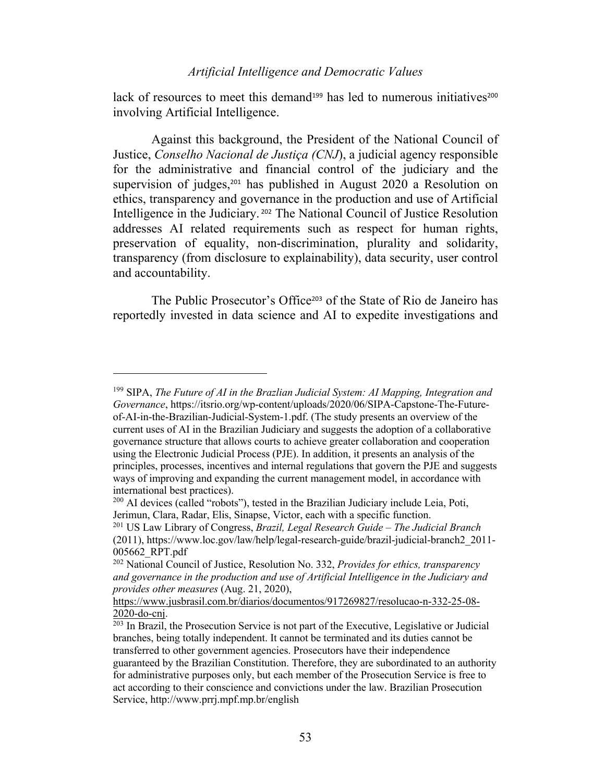lack of resources to meet this demand<sup>199</sup> has led to numerous initiatives<sup>200</sup> involving Artificial Intelligence.

Against this background, the President of the National Council of Justice, *Conselho Nacional de Justiça (CNJ*), a judicial agency responsible for the administrative and financial control of the judiciary and the supervision of judges,<sup>201</sup> has published in August 2020 a Resolution on ethics, transparency and governance in the production and use of Artificial Intelligence in the Judiciary. <sup>202</sup> The National Council of Justice Resolution addresses AI related requirements such as respect for human rights, preservation of equality, non-discrimination, plurality and solidarity, transparency (from disclosure to explainability), data security, user control and accountability.

The Public Prosecutor's Office<sup>203</sup> of the State of Rio de Janeiro has reportedly invested in data science and AI to expedite investigations and

<sup>199</sup> SIPA, *The Future of AI in the Brazlian Judicial System: AI Mapping, Integration and Governance*, https://itsrio.org/wp-content/uploads/2020/06/SIPA-Capstone-The-Futureof-AI-in-the-Brazilian-Judicial-System-1.pdf. (The study presents an overview of the current uses of AI in the Brazilian Judiciary and suggests the adoption of a collaborative governance structure that allows courts to achieve greater collaboration and cooperation using the Electronic Judicial Process (PJE). In addition, it presents an analysis of the principles, processes, incentives and internal regulations that govern the PJE and suggests ways of improving and expanding the current management model, in accordance with international best practices).

 $^{200}$  AI devices (called "robots"), tested in the Brazilian Judiciary include Leia, Poti, Jerimun, Clara, Radar, Elis, Sinapse, Victor, each with a specific function.

<sup>201</sup> US Law Library of Congress, *Brazil, Legal Research Guide – The Judicial Branch* (2011), https://www.loc.gov/law/help/legal-research-guide/brazil-judicial-branch2\_2011- 005662\_RPT.pdf

<sup>202</sup> National Council of Justice, Resolution No. 332, *Provides for ethics, transparency and governance in the production and use of Artificial Intelligence in the Judiciary and provides other measures* (Aug. 21, 2020),

https://www.jusbrasil.com.br/diarios/documentos/917269827/resolucao-n-332-25-08- 2020-do-cnj.

 $203$  In Brazil, the Prosecution Service is not part of the Executive, Legislative or Judicial branches, being totally independent. It cannot be terminated and its duties cannot be transferred to other government agencies. Prosecutors have their independence guaranteed by the Brazilian Constitution. Therefore, they are subordinated to an authority for administrative purposes only, but each member of the Prosecution Service is free to act according to their conscience and convictions under the law. Brazilian Prosecution Service, http://www.prrj.mpf.mp.br/english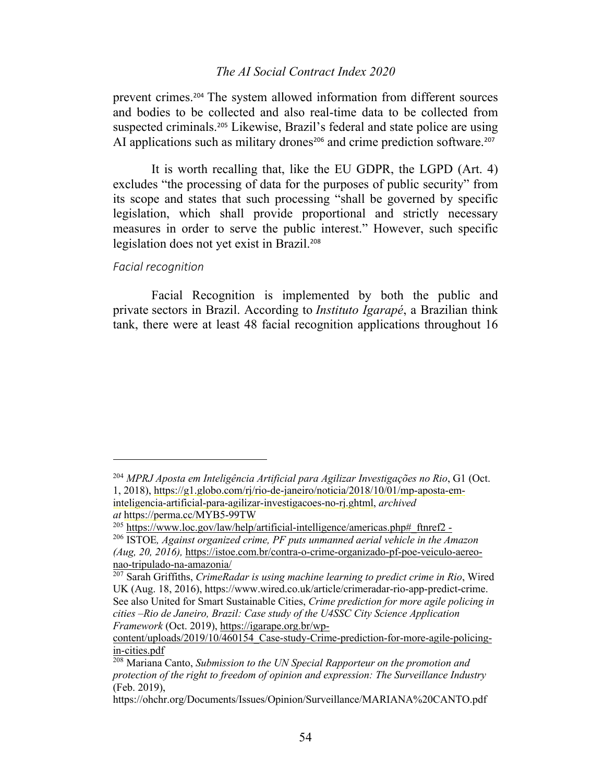prevent crimes.<sup>204</sup> The system allowed information from different sources and bodies to be collected and also real-time data to be collected from suspected criminals.<sup>205</sup> Likewise, Brazil's federal and state police are using AI applications such as military drones<sup>206</sup> and crime prediction software.<sup>207</sup>

It is worth recalling that, like the EU GDPR, the LGPD (Art. 4) excludes "the processing of data for the purposes of public security" from its scope and states that such processing "shall be governed by specific legislation, which shall provide proportional and strictly necessary measures in order to serve the public interest." However, such specific legislation does not yet exist in Brazil. 208

### *Facial recognition*

Facial Recognition is implemented by both the public and private sectors in Brazil. According to *Instituto Igarapé*, a Brazilian think tank, there were at least 48 facial recognition applications throughout 16

<sup>204</sup> *MPRJ Aposta em Inteligência Artificial para Agilizar Investigações no Rio*, G1 (Oct. 1, 2018), https://g1.globo.com/rj/rio-de-janeiro/noticia/2018/10/01/mp-aposta-eminteligencia-artificial-para-agilizar-investigacoes-no-rj.ghtml, *archived*

*at* https://perma.cc/MYB5-99TW

 $^{205}$  https://www.loc.gov/law/help/artificial-intelligence/americas.php# ftnref2 -

<sup>206</sup> ISTOE*, Against organized crime, PF puts unmanned aerial vehicle in the Amazon (Aug, 20, 2016),* https://istoe.com.br/contra-o-crime-organizado-pf-poe-veiculo-aereonao-tripulado-na-amazonia/

<sup>207</sup> Sarah Griffiths, *CrimeRadar is using machine learning to predict crime in Rio*, Wired UK (Aug. 18, 2016), https://www.wired.co.uk/article/crimeradar-rio-app-predict-crime. See also United for Smart Sustainable Cities, *Crime prediction for more agile policing in cities –Rio de Janeiro, Brazil: Case study of the U4SSC City Science Application Framework* (Oct. 2019), https://igarape.org.br/wp-

content/uploads/2019/10/460154\_Case-study-Crime-prediction-for-more-agile-policingin-cities.pdf

<sup>208</sup> Mariana Canto, *Submission to the UN Special Rapporteur on the promotion and protection of the right to freedom of opinion and expression: The Surveillance Industry* (Feb. 2019),

https://ohchr.org/Documents/Issues/Opinion/Surveillance/MARIANA%20CANTO.pdf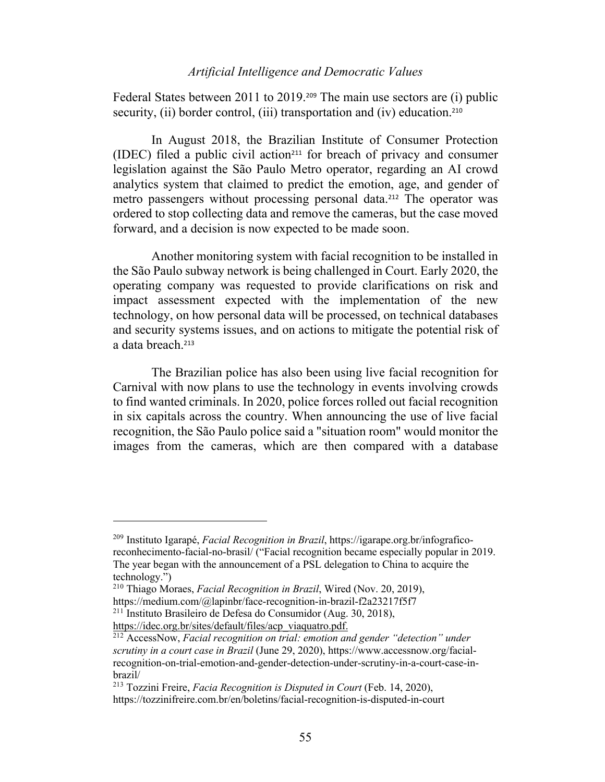Federal States between 2011 to 2019.<sup>209</sup> The main use sectors are (i) public security, (ii) border control, (iii) transportation and (iv) education.<sup>210</sup>

In August 2018, the Brazilian Institute of Consumer Protection (IDEC) filed a public civil action<sup>211</sup> for breach of privacy and consumer legislation against the São Paulo Metro operator, regarding an AI crowd analytics system that claimed to predict the emotion, age, and gender of metro passengers without processing personal data.<sup>212</sup> The operator was ordered to stop collecting data and remove the cameras, but the case moved forward, and a decision is now expected to be made soon.

Another monitoring system with facial recognition to be installed in the São Paulo subway network is being challenged in Court. Early 2020, the operating company was requested to provide clarifications on risk and impact assessment expected with the implementation of the new technology, on how personal data will be processed, on technical databases and security systems issues, and on actions to mitigate the potential risk of a data breach.<sup>213</sup>

The Brazilian police has also been using live facial recognition for Carnival with now plans to use the technology in events involving crowds to find wanted criminals. In 2020, police forces rolled out facial recognition in six capitals across the country. When announcing the use of live facial recognition, the São Paulo police said a "situation room" would monitor the images from the cameras, which are then compared with a database

<sup>209</sup> Instituto Igarapé, *Facial Recognition in Brazil*, https://igarape.org.br/infograficoreconhecimento-facial-no-brasil/ ("Facial recognition became especially popular in 2019. The year began with the announcement of a PSL delegation to China to acquire the technology.")

<sup>210</sup> Thiago Moraes, *Facial Recognition in Brazil*, Wired (Nov. 20, 2019),

https://medium.com/@lapinbr/face-recognition-in-brazil-f2a23217f5f7 <sup>211</sup> Instituto Brasileiro de Defesa do Consumidor (Aug. 30, 2018),

https://idec.org.br/sites/default/files/acp\_viaquatro.pdf.

<sup>212</sup> AccessNow, *Facial recognition on trial: emotion and gender "detection" under scrutiny in a court case in Brazil* (June 29, 2020), https://www.accessnow.org/facialrecognition-on-trial-emotion-and-gender-detection-under-scrutiny-in-a-court-case-inbrazil/

<sup>213</sup> Tozzini Freire, *Facia Recognition is Disputed in Court* (Feb. 14, 2020), https://tozzinifreire.com.br/en/boletins/facial-recognition-is-disputed-in-court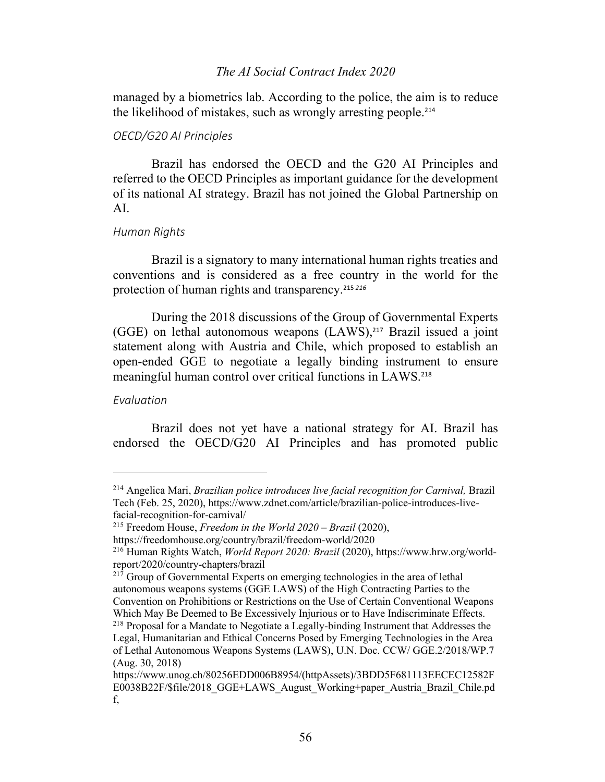managed by a biometrics lab. According to the police, the aim is to reduce the likelihood of mistakes, such as wrongly arresting people. 214

# *OECD/G20 AI Principles*

Brazil has endorsed the OECD and the G20 AI Principles and referred to the OECD Principles as important guidance for the development of its national AI strategy. Brazil has not joined the Global Partnership on AI.

#### *Human Rights*

Brazil is a signatory to many international human rights treaties and conventions and is considered as a free country in the world for the protection of human rights and transparency. 215 *216*

During the 2018 discussions of the Group of Governmental Experts (GGE) on lethal autonomous weapons (LAWS), <sup>217</sup> Brazil issued a joint statement along with Austria and Chile, which proposed to establish an open-ended GGE to negotiate a legally binding instrument to ensure meaningful human control over critical functions in LAWS.<sup>218</sup>

#### *Evaluation*

Brazil does not yet have a national strategy for AI. Brazil has endorsed the OECD/G20 AI Principles and has promoted public

<sup>214</sup> Angelica Mari, *Brazilian police introduces live facial recognition for Carnival,* Brazil Tech (Feb. 25, 2020), https://www.zdnet.com/article/brazilian-police-introduces-livefacial-recognition-for-carnival/

<sup>215</sup> Freedom House, *Freedom in the World 2020 – Brazil* (2020),

https://freedomhouse.org/country/brazil/freedom-world/2020

<sup>216</sup> Human Rights Watch, *World Report 2020: Brazil* (2020), https://www.hrw.org/worldreport/2020/country-chapters/brazil

 $217$  Group of Governmental Experts on emerging technologies in the area of lethal autonomous weapons systems (GGE LAWS) of the High Contracting Parties to the Convention on Prohibitions or Restrictions on the Use of Certain Conventional Weapons Which May Be Deemed to Be Excessively Injurious or to Have Indiscriminate Effects. <sup>218</sup> Proposal for a Mandate to Negotiate a Legally-binding Instrument that Addresses the Legal, Humanitarian and Ethical Concerns Posed by Emerging Technologies in the Area

of Lethal Autonomous Weapons Systems (LAWS), U.N. Doc. CCW/ GGE.2/2018/WP.7 (Aug. 30, 2018)

https://www.unog.ch/80256EDD006B8954/(httpAssets)/3BDD5F681113EECEC12582F E0038B22F/\$file/2018\_GGE+LAWS\_August\_Working+paper\_Austria\_Brazil\_Chile.pd f,